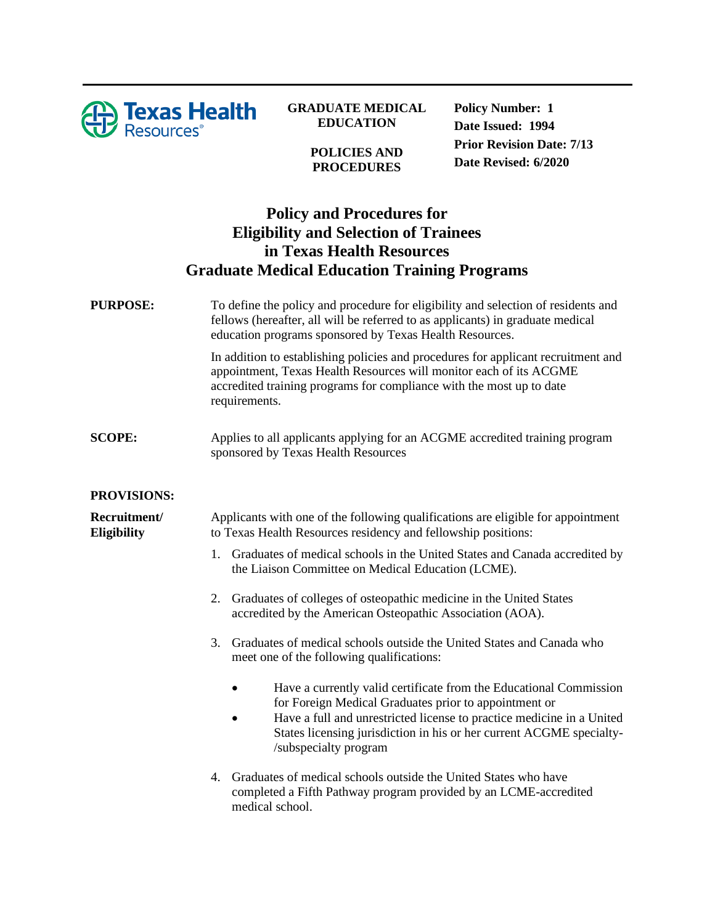

**GRADUATE MEDICAL EDUCATION**

> **POLICIES AND PROCEDURES**

**Policy Number: 1 Date Issued: 1994 Prior Revision Date: 7/13 Date Revised: 6/2020**

## **Policy and Procedures for Eligibility and Selection of Trainees in Texas Health Resources Graduate Medical Education Training Programs**

**PURPOSE:** To define the policy and procedure for eligibility and selection of residents and fellows (hereafter, all will be referred to as applicants) in graduate medical education programs sponsored by Texas Health Resources.

> In addition to establishing policies and procedures for applicant recruitment and appointment, Texas Health Resources will monitor each of its ACGME accredited training programs for compliance with the most up to date requirements.

**SCOPE:** Applies to all applicants applying for an ACGME accredited training program sponsored by Texas Health Resources

## **PROVISIONS:**

**Recruitment/ Eligibility** Applicants with one of the following qualifications are eligible for appointment to Texas Health Resources residency and fellowship positions:

- 1. Graduates of medical schools in the United States and Canada accredited by the Liaison Committee on Medical Education (LCME).
- 2. Graduates of colleges of osteopathic medicine in the United States accredited by the American Osteopathic Association (AOA).
- 3. Graduates of medical schools outside the United States and Canada who meet one of the following qualifications:
	- Have a currently valid certificate from the Educational Commission for Foreign Medical Graduates prior to appointment or
	- Have a full and unrestricted license to practice medicine in a United States licensing jurisdiction in his or her current ACGME specialty- /subspecialty program
- 4. Graduates of medical schools outside the United States who have completed a Fifth Pathway program provided by an LCME-accredited medical school.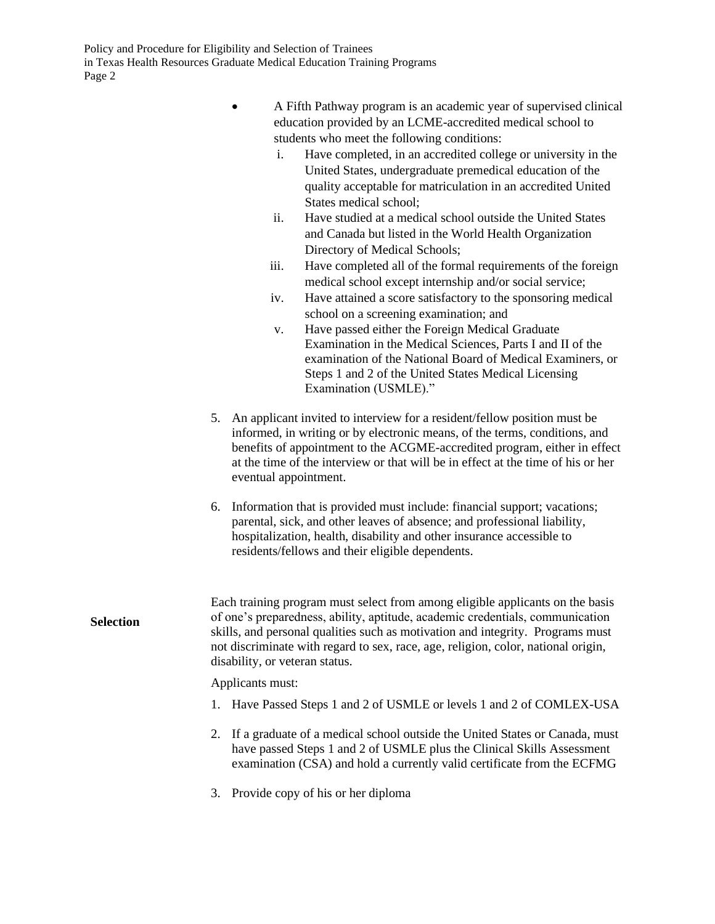Policy and Procedure for Eligibility and Selection of Trainees in Texas Health Resources Graduate Medical Education Training Programs Page 2

|                  | A Fifth Pathway program is an academic year of supervised clinical<br>education provided by an LCME-accredited medical school to<br>students who meet the following conditions:<br>Have completed, in an accredited college or university in the<br>i.<br>United States, undergraduate premedical education of the<br>quality acceptable for matriculation in an accredited United<br>States medical school;<br>Have studied at a medical school outside the United States<br>ii.<br>and Canada but listed in the World Health Organization<br>Directory of Medical Schools;<br>iii.<br>Have completed all of the formal requirements of the foreign<br>medical school except internship and/or social service;<br>Have attained a score satisfactory to the sponsoring medical<br>iv.<br>school on a screening examination; and<br>Have passed either the Foreign Medical Graduate<br>V.<br>Examination in the Medical Sciences, Parts I and II of the<br>examination of the National Board of Medical Examiners, or<br>Steps 1 and 2 of the United States Medical Licensing<br>Examination (USMLE)." |
|------------------|--------------------------------------------------------------------------------------------------------------------------------------------------------------------------------------------------------------------------------------------------------------------------------------------------------------------------------------------------------------------------------------------------------------------------------------------------------------------------------------------------------------------------------------------------------------------------------------------------------------------------------------------------------------------------------------------------------------------------------------------------------------------------------------------------------------------------------------------------------------------------------------------------------------------------------------------------------------------------------------------------------------------------------------------------------------------------------------------------------|
|                  | An applicant invited to interview for a resident/fellow position must be<br>5.<br>informed, in writing or by electronic means, of the terms, conditions, and<br>benefits of appointment to the ACGME-accredited program, either in effect<br>at the time of the interview or that will be in effect at the time of his or her<br>eventual appointment.                                                                                                                                                                                                                                                                                                                                                                                                                                                                                                                                                                                                                                                                                                                                                 |
|                  | 6. Information that is provided must include: financial support; vacations;<br>parental, sick, and other leaves of absence; and professional liability,<br>hospitalization, health, disability and other insurance accessible to<br>residents/fellows and their eligible dependents.                                                                                                                                                                                                                                                                                                                                                                                                                                                                                                                                                                                                                                                                                                                                                                                                                   |
| <b>Selection</b> | Each training program must select from among eligible applicants on the basis<br>of one's preparedness, ability, aptitude, academic credentials, communication<br>skills, and personal qualities such as motivation and integrity. Programs must<br>not discriminate with regard to sex, race, age, religion, color, national origin,<br>disability, or veteran status.                                                                                                                                                                                                                                                                                                                                                                                                                                                                                                                                                                                                                                                                                                                                |
|                  | Applicants must:                                                                                                                                                                                                                                                                                                                                                                                                                                                                                                                                                                                                                                                                                                                                                                                                                                                                                                                                                                                                                                                                                       |
|                  | Have Passed Steps 1 and 2 of USMLE or levels 1 and 2 of COMLEX-USA<br>1.                                                                                                                                                                                                                                                                                                                                                                                                                                                                                                                                                                                                                                                                                                                                                                                                                                                                                                                                                                                                                               |
|                  | If a graduate of a medical school outside the United States or Canada, must<br>2.<br>have passed Steps 1 and 2 of USMLE plus the Clinical Skills Assessment<br>examination (CSA) and hold a currently valid certificate from the ECFMG                                                                                                                                                                                                                                                                                                                                                                                                                                                                                                                                                                                                                                                                                                                                                                                                                                                                 |
|                  | Provide copy of his or her diploma<br>3.                                                                                                                                                                                                                                                                                                                                                                                                                                                                                                                                                                                                                                                                                                                                                                                                                                                                                                                                                                                                                                                               |
|                  |                                                                                                                                                                                                                                                                                                                                                                                                                                                                                                                                                                                                                                                                                                                                                                                                                                                                                                                                                                                                                                                                                                        |